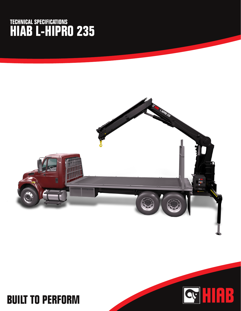## **TECHNICAL SPECIFICATIONS HIAB L-HIPRO 235**